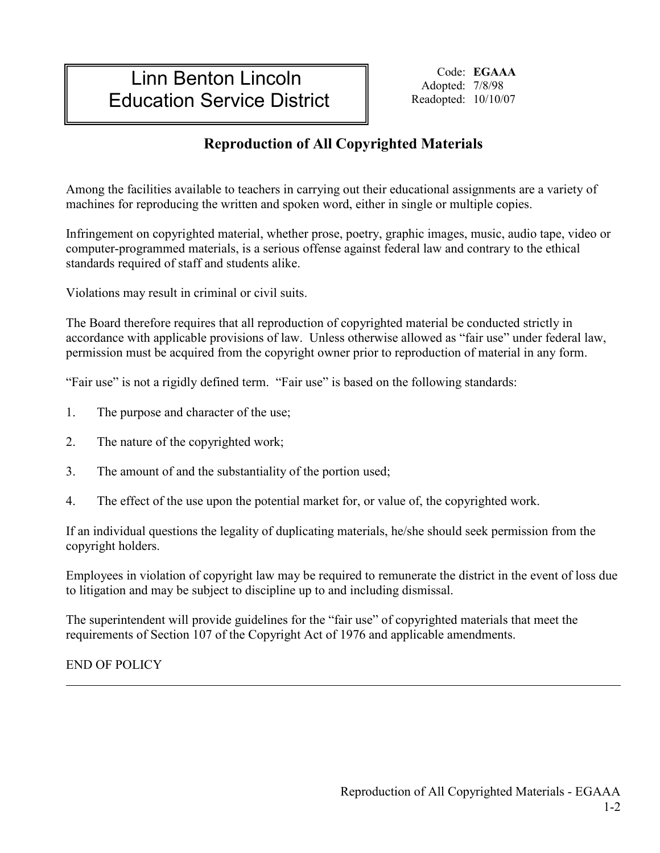# Linn Benton Lincoln Education Service District

Code: **EGAAA** Adopted: 7/8/98 Readopted: 10/10/07

## **Reproduction of All Copyrighted Materials**

Among the facilities available to teachers in carrying out their educational assignments are a variety of machines for reproducing the written and spoken word, either in single or multiple copies.

Infringement on copyrighted material, whether prose, poetry, graphic images, music, audio tape, video or computer-programmed materials, is a serious offense against federal law and contrary to the ethical standards required of staff and students alike.

Violations may result in criminal or civil suits.

The Board therefore requires that all reproduction of copyrighted material be conducted strictly in accordance with applicable provisions of law. Unless otherwise allowed as "fair use" under federal law, permission must be acquired from the copyright owner prior to reproduction of material in any form.

"Fair use" is not a rigidly defined term. "Fair use" is based on the following standards:

- 1. The purpose and character of the use;
- 2. The nature of the copyrighted work;
- 3. The amount of and the substantiality of the portion used;
- 4. The effect of the use upon the potential market for, or value of, the copyrighted work.

If an individual questions the legality of duplicating materials, he/she should seek permission from the copyright holders.

Employees in violation of copyright law may be required to remunerate the district in the event of loss due to litigation and may be subject to discipline up to and including dismissal.

The superintendent will provide guidelines for the "fair use" of copyrighted materials that meet the requirements of Section 107 of the Copyright Act of 1976 and applicable amendments.

END OF POLICY